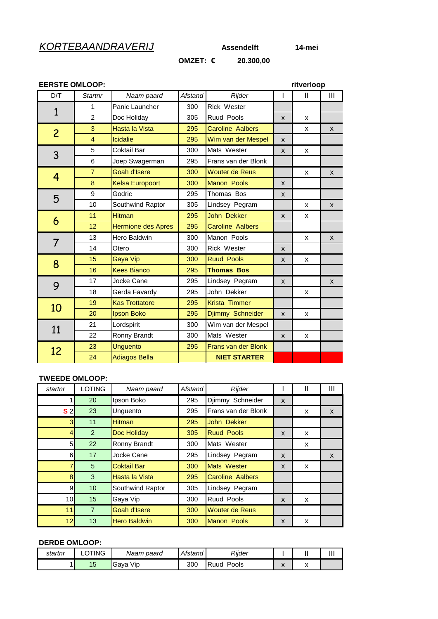## *KORTEBAANDRAVERIJ* **Assendelft 14-mei**

# **OMZET: € 20.300,00**

| <b>EERSTE OMLOOP:</b> |                |                           |         |                            |              | ritverloop   |                |
|-----------------------|----------------|---------------------------|---------|----------------------------|--------------|--------------|----------------|
| D/T                   | <b>Startnr</b> | Naam paard                | Afstand | Rijder                     | $\mathsf{l}$ | $\mathbf{I}$ | $\mathbf{III}$ |
| $\mathbf{1}$          | 1              | Panic Launcher            | 300     | <b>Rick Wester</b>         |              |              |                |
|                       | $\overline{2}$ | Doc Holiday               | 305     | Ruud Pools                 | X            | X            |                |
| $\overline{c}$        | 3              | Hasta la Vista            | 295     | <b>Caroline Aalbers</b>    |              | x            | X              |
|                       | $\overline{4}$ | Icidalie                  | 295     | Wim van der Mespel         | X            |              |                |
| 3                     | 5              | Coktail Bar               | 300     | Mats Wester                | X            | X            |                |
|                       | 6              | Joep Swagerman            | 295     | Frans van der Blonk        |              |              |                |
| 4                     | $\overline{7}$ | <b>Goah d'Isere</b>       | 300     | <b>Wouter de Reus</b>      |              | X            | X              |
|                       | 8              | <b>Kelsa Europoort</b>    | 300     | <b>Manon Pools</b>         | X            |              |                |
| 5                     | 9              | Godric                    | 295     | Thomas Bos                 | X            |              |                |
|                       | 10             | Southwind Raptor          | 305     | Lindsey Pegram             |              | X            | X              |
| 6                     | 11             | <b>Hitman</b>             | 295     | John Dekker                | X            | X            |                |
|                       | 12             | <b>Hermione des Apres</b> | 295     | <b>Caroline Aalbers</b>    |              |              |                |
| 7                     | 13             | Hero Baldwin              | 300     | Manon Pools                |              | X            | $\mathsf{x}$   |
|                       | 14             | Otero                     | 300     | <b>Rick Wester</b>         | X            |              |                |
| 8                     | 15             | Gaya Vip                  | 300     | <b>Ruud Pools</b>          | X            | X            |                |
|                       | 16             | <b>Kees Bianco</b>        | 295     | <b>Thomas Bos</b>          |              |              |                |
| 9                     | 17             | Jocke Cane                | 295     | Lindsey Pegram             | X            |              | X              |
|                       | 18             | Gerda Favardy             | 295     | John Dekker                |              | x            |                |
| 10                    | 19             | <b>Kas Trottatore</b>     | 295     | Krista Timmer              |              |              |                |
|                       | 20             | Ipson Boko                | 295     | Djimmy Schneider           | X            | X            |                |
| 11                    | 21             | Lordspirit                | 300     | Wim van der Mespel         |              |              |                |
|                       | 22             | Ronny Brandt              | 300     | Mats Wester                | X            | X            |                |
| 12                    | 23             | <b>Unguento</b>           | 295     | <b>Frans van der Blonk</b> |              |              |                |
|                       | 24             | <b>Adiagos Bella</b>      |         | <b>NIET STARTER</b>        |              |              |                |

### **TWEEDE OMLOOP:**

| startnr         | <b>LOTING</b>   | Naam paard          | Afstand | Rijder                  |   | Ш | Ш            |
|-----------------|-----------------|---------------------|---------|-------------------------|---|---|--------------|
|                 | 20              | Ipson Boko          | 295     | Djimmy Schneider        | X |   |              |
| S <sub>2</sub>  | 23              | Unquento            | 295     | Frans van der Blonk     |   | x | $\mathsf{x}$ |
| 3               | 11              | <b>Hitman</b>       | 295     | John Dekker             |   |   |              |
| $\overline{4}$  | 2               | Doc Holiday         | 305     | <b>Ruud Pools</b>       | X | X |              |
| 5 <sub>l</sub>  | 22              | Ronny Brandt        | 300     | Mats Wester             |   | x |              |
| 6               | 17              | Jocke Cane          | 295     | Lindsey Pegram          | X |   | $\mathsf{x}$ |
| 7               | $5\overline{)}$ | <b>Coktail Bar</b>  | 300     | Mats Wester             | X | X |              |
| 8 <sup>1</sup>  | 3               | Hasta la Vista      | 295     | <b>Caroline Aalbers</b> |   |   |              |
| 9               | 10              | Southwind Raptor    | 305     | Lindsey Pegram          |   |   |              |
| 10 <sup>1</sup> | 15              | Gaya Vip            | 300     | Ruud Pools              | X | X |              |
| 11              | $\overline{7}$  | Goah d'Isere        | 300     | <b>Wouter de Reus</b>   |   |   |              |
| 12 <sub>1</sub> | 13              | <b>Hero Baldwin</b> | 300     | <b>Manon Pools</b>      | X | X |              |

#### **DERDE OMLOOP:**

| startnr | TING | paard<br>Naam | Afstand | Riider        |              | <br>. .                              | Ш |
|---------|------|---------------|---------|---------------|--------------|--------------------------------------|---|
|         | 15   | Gaya<br>Vip   | 300     | Pools<br>'uud | $\mathbf{v}$ | $\overline{\mathbf{v}}$<br>$\lambda$ |   |